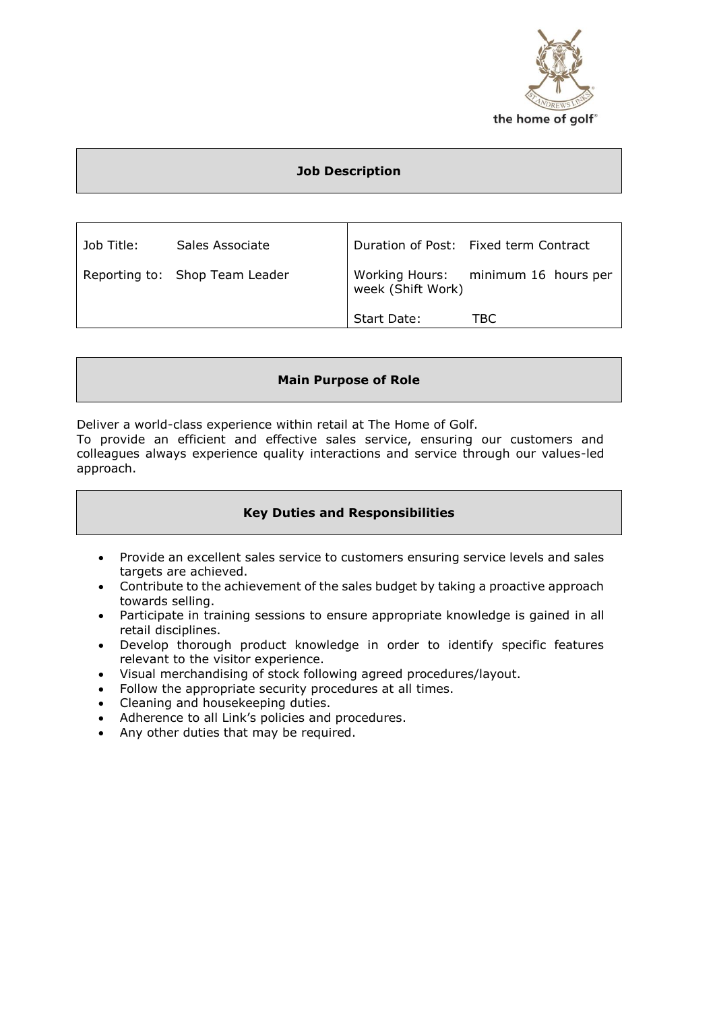

# **Job Description**

| Job Title: | Sales Associate                |                   | Duration of Post: Fixed term Contract |
|------------|--------------------------------|-------------------|---------------------------------------|
|            | Reporting to: Shop Team Leader | week (Shift Work) | Working Hours: minimum 16 hours per   |
|            |                                | Start Date:       | TBC.                                  |

# **Main Purpose of Role**

Deliver a world-class experience within retail at The Home of Golf.

To provide an efficient and effective sales service, ensuring our customers and colleagues always experience quality interactions and service through our values-led approach.

## **Key Duties and Responsibilities**

- Provide an excellent sales service to customers ensuring service levels and sales targets are achieved.
- Contribute to the achievement of the sales budget by taking a proactive approach towards selling.
- Participate in training sessions to ensure appropriate knowledge is gained in all retail disciplines.
- Develop thorough product knowledge in order to identify specific features relevant to the visitor experience.
- Visual merchandising of stock following agreed procedures/layout.
- Follow the appropriate security procedures at all times.
- Cleaning and housekeeping duties.
- Adherence to all Link's policies and procedures.
- Any other duties that may be required.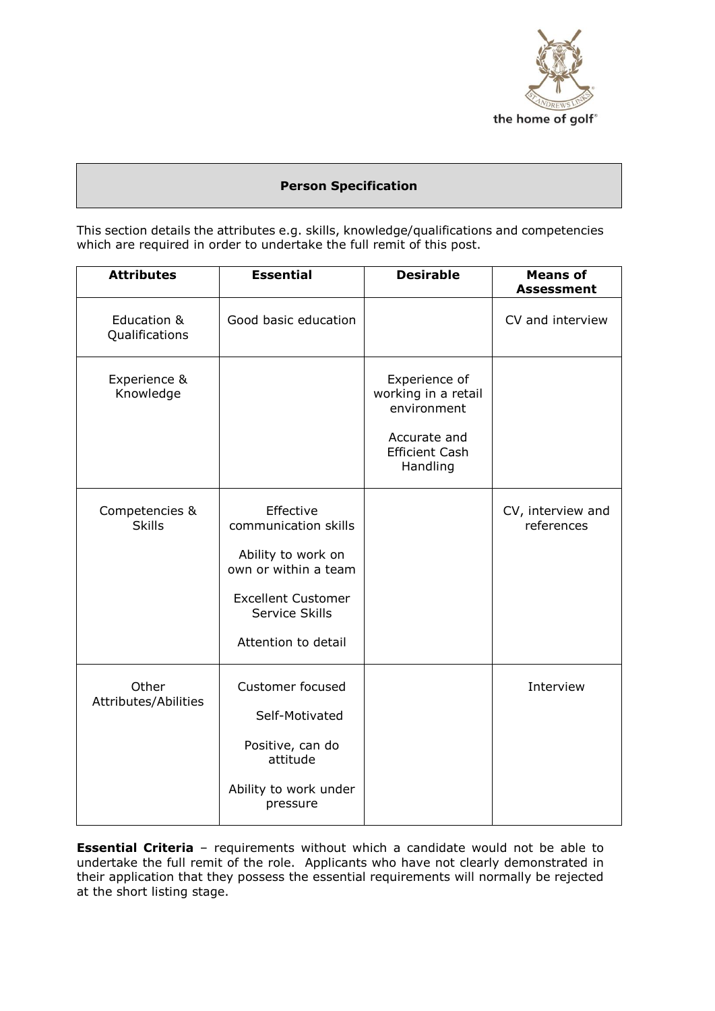

# **Person Specification**

This section details the attributes e.g. skills, knowledge/qualifications and competencies which are required in order to undertake the full remit of this post.

| <b>Attributes</b>               | <b>Essential</b>                                                                                                                                      | <b>Desirable</b>                                                                                         | <b>Means of</b><br><b>Assessment</b> |
|---------------------------------|-------------------------------------------------------------------------------------------------------------------------------------------------------|----------------------------------------------------------------------------------------------------------|--------------------------------------|
| Education &<br>Qualifications   | Good basic education                                                                                                                                  |                                                                                                          | CV and interview                     |
| Experience &<br>Knowledge       |                                                                                                                                                       | Experience of<br>working in a retail<br>environment<br>Accurate and<br><b>Efficient Cash</b><br>Handling |                                      |
| Competencies &<br><b>Skills</b> | Effective<br>communication skills<br>Ability to work on<br>own or within a team<br><b>Excellent Customer</b><br>Service Skills<br>Attention to detail |                                                                                                          | CV, interview and<br>references      |
| Other<br>Attributes/Abilities   | <b>Customer focused</b><br>Self-Motivated<br>Positive, can do<br>attitude<br>Ability to work under<br>pressure                                        |                                                                                                          | Interview                            |

**Essential Criteria** - requirements without which a candidate would not be able to undertake the full remit of the role. Applicants who have not clearly demonstrated in their application that they possess the essential requirements will normally be rejected at the short listing stage.